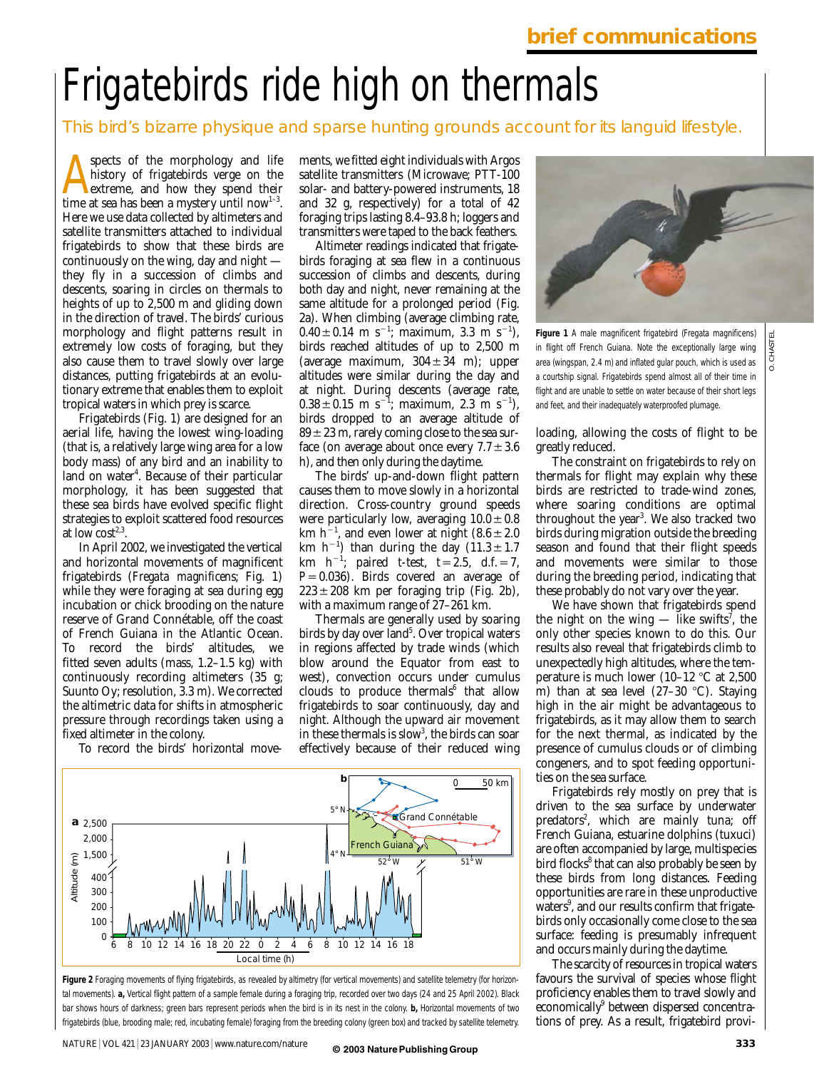# Frigatebirds ride high on thermals

This bird's bizarre physique and sparse hunting grounds account for its languid lifestyle.

Spects of the morphology and life<br>history of frigatebirds verge on the<br>time at sea has been a mystery until now<sup>1-3</sup>. spects of the morphology and life history of frigatebirds verge on the extreme, and how they spend their Here we use data collected by altimeters and satellite transmitters attached to individual frigatebirds to show that these birds are continuously on the wing, day and night they fly in a succession of climbs and descents, soaring in circles on thermals to heights of up to 2,500 m and gliding down in the direction of travel. The birds' curious morphology and flight patterns result in extremely low costs of foraging, but they also cause them to travel slowly over large distances, putting frigatebirds at an evolutionary extreme that enables them to exploit tropical waters in which prey is scarce.

Frigatebirds (Fig. 1) are designed for an aerial life, having the lowest wing-loading (that is, a relatively large wing area for a low body mass) of any bird and an inability to land on water<sup>4</sup>. Because of their particular morphology, it has been suggested that these sea birds have evolved specific flight strategies to exploit scattered food resources at low  $cost^{2,3}$ .

In April 2002, we investigated the vertical and horizontal movements of magnificent frigatebirds (*Fregata magnificens*; Fig. 1) while they were foraging at sea during egg incubation or chick brooding on the nature reserve of Grand Connétable, off the coast of French Guiana in the Atlantic Ocean.<br>To record the birds' altitudes. we To record the birds' fitted seven adults (mass, 1.2–1.5 kg) with continuously recording altimeters (35 g; Suunto Oy; resolution, 3.3 m). We corrected the altimetric data for shifts in atmospheric pressure through recordings taken using a fixed altimeter in the colony.

To record the birds' horizontal move-

ments, we fitted eight individuals with Argos satellite transmitters (Microwave; PTT-100 solar- and battery-powered instruments, 18 and 32 g, respectively) for a total of 42 foraging trips lasting 8.4–93.8 h; loggers and transmitters were taped to the back feathers.

Altimeter readings indicated that frigatebirds foraging at sea flew in a continuous succession of climbs and descents, during both day and night, never remaining at the same altitude for a prolonged period (Fig. 2a). When climbing (average climbing rate,  $0.40 \pm 0.14$  m s<sup>-1</sup>; maximum, 3.3 m s<sup>-1</sup>), birds reached altitudes of up to 2,500 m (average maximum,  $304 \pm 34$  m); upper altitudes were similar during the day and at night. During descents (average rate,  $0.38 \pm 0.15$  m s<sup>-1</sup>; maximum, 2.3 m s<sup>-1</sup>), birds dropped to an average altitude of  $89 \pm 23$  m, rarely coming close to the sea surface (on average about once every  $7.7 \pm 3.6$ h), and then only during the daytime.

The birds' up-and-down flight pattern causes them to move slowly in a horizontal direction. Cross-country ground speeds were particularly low, averaging  $10.0 \pm 0.8$ km h<sup>-1</sup>, and even lower at night  $(8.6 \pm 2.0$ km  $h^{-1}$ ) than during the day  $(11.3 \pm 1.7)$  $km \text{ } h^{-1}$ ; paired *t*-test, *t*=2.5, d.f. = 7,  $P=0.036$ ). Birds covered an average of  $223 \pm 208$  km per foraging trip (Fig. 2b), with a maximum range of 27–261 km.

Thermals are generally used by soaring birds by day over land<sup>5</sup>. Over tropical waters in regions affected by trade winds (which blow around the Equator from east to west), convection occurs under cumulus clouds to produce thermals $6$  that allow frigatebirds to soar continuously, day and night. Although the upward air movement in these thermals is slow<sup>3</sup>, the birds can soar effectively because of their reduced wing



**Figure 2** Foraging movements of flying frigatebirds, as revealed by altimetry (for vertical movements) and satellite telemetry (for horizontal movements). **a,** Vertical flight pattern of a sample female during a foraging trip, recorded over two days (24 and 25 April 2002). Black bar shows hours of darkness; green bars represent periods when the bird is in its nest in the colony. **b,** Horizontal movements of two frigatebirds (blue, brooding male; red, incubating female) foraging from the breeding colony (green box) and tracked by satellite telemetry.



O. CHASTEL

**Figure 1** A male magnificent frigatebird (*Fregata magnificens*) in flight off French Guiana. Note the exceptionally large wing area (wingspan, 2.4 m) and inflated gular pouch, which is used as a courtship signal. Frigatebirds spend almost all of their time in flight and are unable to settle on water because of their short legs and feet, and their inadequately waterproofed plumage.

loading, allowing the costs of flight to be greatly reduced.

The constraint on frigatebirds to rely on thermals for flight may explain why these birds are restricted to trade-wind zones, where soaring conditions are optimal throughout the year<sup>3</sup>. We also tracked two birds during migration outside the breeding season and found that their flight speeds and movements were similar to those during the breeding period, indicating that these probably do not vary over the year.

We have shown that frigatebirds spend the night on the wing — like swifts<sup>7</sup>, the only other species known to do this. Our results also reveal that frigatebirds climb to unexpectedly high altitudes, where the temperature is much lower (10–12  $\degree$ C at 2.500 m) than at sea level  $(27-30 \degree C)$ . Staying high in the air might be advantageous to frigatebirds, as it may allow them to search for the next thermal, as indicated by the presence of cumulus clouds or of climbing congeners, and to spot feeding opportunities on the sea surface.

Frigatebirds rely mostly on prey that is driven to the sea surface by underwater predators<sup>2</sup>, which are mainly tuna; off French Guiana, estuarine dolphins (tuxuci) are often accompanied by large, multispecies bird flocks<sup>8</sup> that can also probably be seen by these birds from long distances. Feeding opportunities are rare in these unproductive waters<sup>9</sup>, and our results confirm that frigatebirds only occasionally come close to the sea surface: feeding is presumably infrequent and occurs mainly during the daytime.

The scarcity of resources in tropical waters favours the survival of species whose flight proficiency enables them to travel slowly and economically<sup>9</sup> between dispersed concentrations of prey. As a result, frigatebird provi-